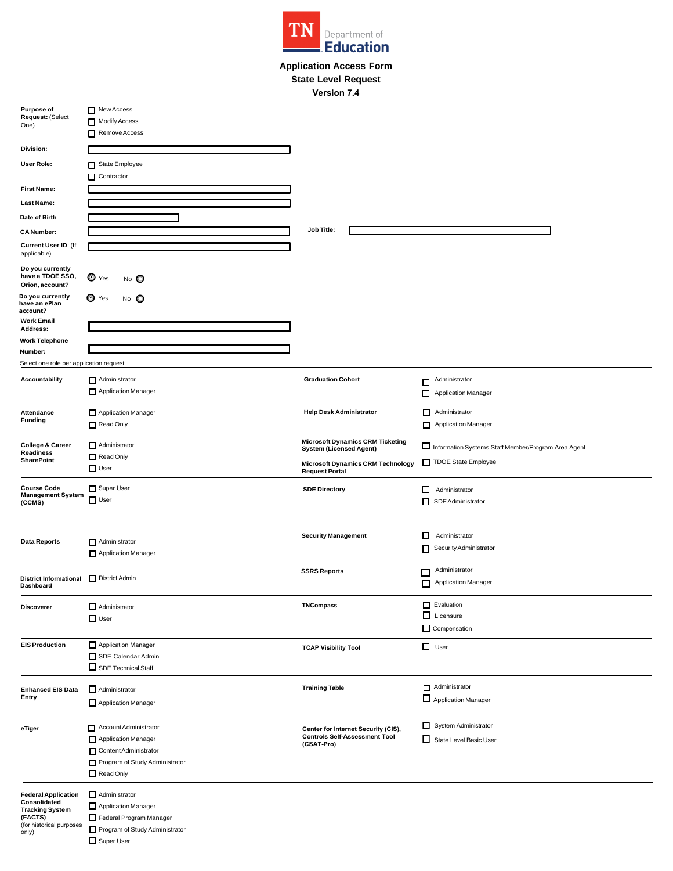

## **Application Access Form State Level Request Version 7.4**

| <b>Purpose of</b><br>Request: (Select                    | New Access<br>Modify Access                  |                                                                           |                                                     |
|----------------------------------------------------------|----------------------------------------------|---------------------------------------------------------------------------|-----------------------------------------------------|
| One)                                                     | Remove Access                                |                                                                           |                                                     |
|                                                          |                                              |                                                                           |                                                     |
| Division:                                                |                                              |                                                                           |                                                     |
| User Role:                                               | State Employee                               |                                                                           |                                                     |
|                                                          | Contractor                                   |                                                                           |                                                     |
| <b>First Name:</b>                                       |                                              |                                                                           |                                                     |
| <b>Last Name:</b>                                        |                                              |                                                                           |                                                     |
| Date of Birth                                            |                                              |                                                                           |                                                     |
| <b>CA Number:</b>                                        |                                              | Job Title:                                                                |                                                     |
| Current User ID: (If<br>applicable)                      |                                              |                                                                           |                                                     |
| Do you currently<br>have a TDOE SSO,<br>Orion, account?  | $\bullet$ Yes<br>$N_O$ $\bullet$             |                                                                           |                                                     |
| Do you currently<br>have an ePlan                        | $\bullet$ Yes<br>No O                        |                                                                           |                                                     |
| account?<br><b>Work Email</b>                            |                                              |                                                                           |                                                     |
| Address:                                                 |                                              |                                                                           |                                                     |
| <b>Work Telephone</b>                                    |                                              |                                                                           |                                                     |
| Number:                                                  |                                              |                                                                           |                                                     |
| Select one role per application request.                 |                                              |                                                                           |                                                     |
| Accountability                                           | Administrator                                | <b>Graduation Cohort</b>                                                  | Administrator<br>$\Box$                             |
|                                                          | Application Manager                          |                                                                           | Application Manager                                 |
|                                                          |                                              |                                                                           |                                                     |
| Attendance<br><b>Funding</b>                             | Application Manager                          | <b>Help Desk Administrator</b>                                            | Administrator                                       |
|                                                          | Read Only                                    |                                                                           | Application Manager                                 |
| <b>College &amp; Career</b>                              | Administrator                                | <b>Microsoft Dynamics CRM Ticketing</b><br><b>System (Licensed Agent)</b> | Information Systems Staff Member/Program Area Agent |
| Readiness<br><b>SharePoint</b>                           | Read Only                                    |                                                                           | TDOE State Employee                                 |
|                                                          | $\Box$ User                                  | <b>Microsoft Dynamics CRM Technology</b><br><b>Request Portal</b>         |                                                     |
| <b>Course Code</b><br><b>Management System</b><br>(CCMS) | Super User<br>$\Box$ User                    | <b>SDE Directory</b>                                                      | $\Box$ Administrator<br>SDE Administrator           |
|                                                          |                                              | <b>Security Management</b>                                                | Administrator                                       |
| <b>Data Reports</b>                                      | Administrator                                |                                                                           | Security Administrator                              |
|                                                          | Application Manager                          |                                                                           |                                                     |
|                                                          |                                              | <b>SSRS Reports</b>                                                       | Administrator<br>□                                  |
| District Informational District Admin<br>Dashboard       |                                              |                                                                           | Application Manager<br>п                            |
|                                                          |                                              |                                                                           |                                                     |
| <b>Discoverer</b>                                        | $\Box$ Administrator                         | <b>TNCompass</b>                                                          | $\Box$ Evaluation                                   |
|                                                          | $\Box$ User                                  |                                                                           | $\Box$ Licensure                                    |
|                                                          |                                              |                                                                           | Compensation                                        |
| <b>EIS Production</b>                                    | Application Manager                          | <b>TCAP Visibility Tool</b>                                               | $\Box$ User                                         |
|                                                          | SDE Calendar Admin                           |                                                                           |                                                     |
|                                                          | $\Box$ SDE Technical Staff                   |                                                                           |                                                     |
|                                                          |                                              |                                                                           | Administrator                                       |
| <b>Enhanced EIS Data</b><br>Entry                        | $\Box$ Administrator                         | <b>Training Table</b>                                                     | Application Manager                                 |
|                                                          | Application Manager                          |                                                                           |                                                     |
| eTiger                                                   | Account Administrator                        | Center for Internet Security (CIS),                                       | System Administrator                                |
|                                                          | Application Manager                          | <b>Controls Self-Assessment Tool</b>                                      | State Level Basic User                              |
|                                                          | Content Administrator                        | (CSAT-Pro)                                                                |                                                     |
|                                                          | Program of Study Administrator               |                                                                           |                                                     |
|                                                          | Read Only                                    |                                                                           |                                                     |
|                                                          |                                              |                                                                           |                                                     |
| <b>Federal Application</b><br>Consolidated               | $\Box$ Administrator                         |                                                                           |                                                     |
| <b>Tracking System</b>                                   | Application Manager                          |                                                                           |                                                     |
| (FACTS)<br>(for historical purposes                      | Federal Program Manager                      |                                                                           |                                                     |
| only)                                                    | Program of Study Administrator<br>Super User |                                                                           |                                                     |
|                                                          |                                              |                                                                           |                                                     |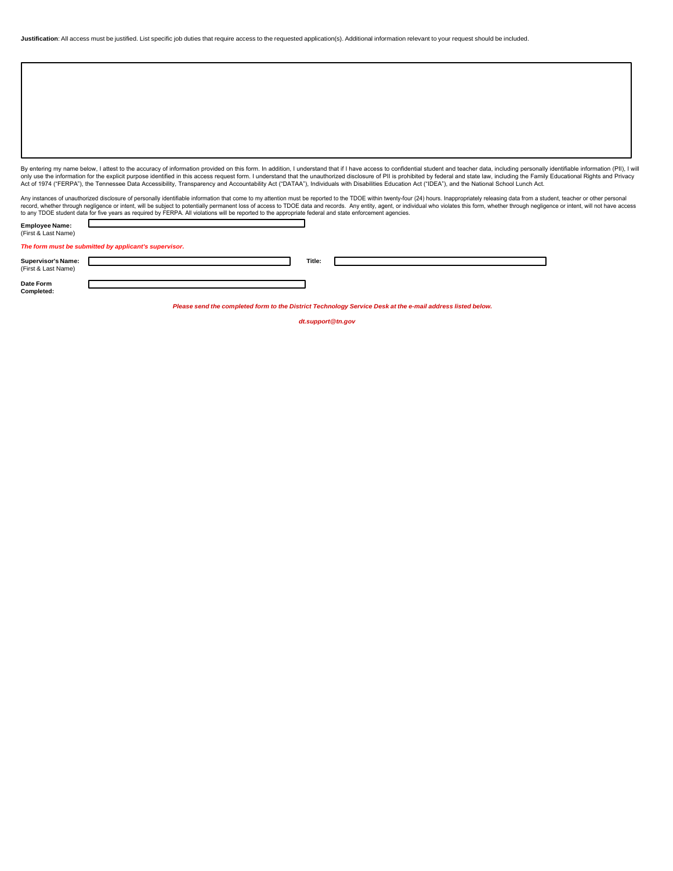|  |  | Justification: All access must be justified. List specific job duties that require access to the requested application(s). Additional information relevant to your request should be included. |  |  |
|--|--|------------------------------------------------------------------------------------------------------------------------------------------------------------------------------------------------|--|--|
|--|--|------------------------------------------------------------------------------------------------------------------------------------------------------------------------------------------------|--|--|

By entering my name below, I attest to the accuracy of information provided on this form. In addition, I understand that if I have access to confidential student and teacher data, including personally identifiable informat only use the information for the explicit purpose identified in this access request form. I understand that the unauthorized disclosure of PII is prohibited by federal and state law, including the Family Educational Rights

Any instances of unauthorized disclosure of personally identifiable information that come to my attention must be reported to the TDOE within twenty-four (24) hours. Inappropriately releasing data from a student, teacher o

| <b>Employee Name:</b><br>(First & Last Name) |                                                       |        |  |
|----------------------------------------------|-------------------------------------------------------|--------|--|
|                                              | The form must be submitted by applicant's supervisor. |        |  |
| <b>Supervisor's Name:</b>                    |                                                       | Title: |  |
| (First & Last Name)                          |                                                       |        |  |

**Date Form Completed:**

*Please send the completed form to the District Technology Service Desk at the e-mail address listed below.*

٦

*dt.support@tn.gov*